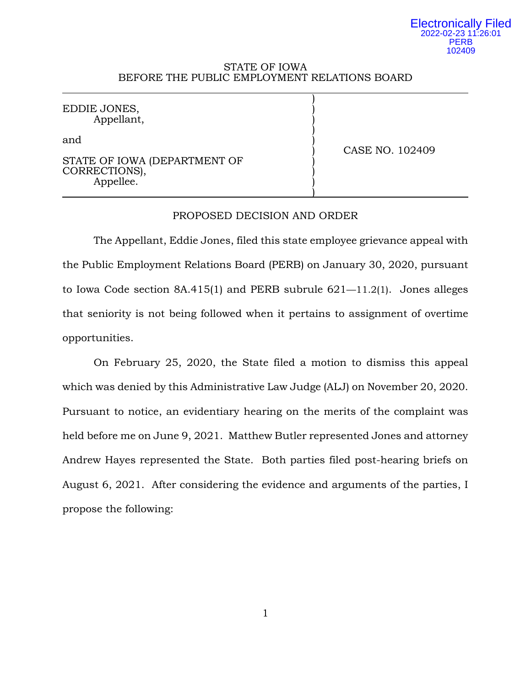#### Electronically Filed 2022-02-23 11:26:01 PERB 102409

## STATE OF IOWA BEFORE THE PUBLIC EMPLOYMENT RELATIONS BOARD

| EDDIE JONES,<br>Appellant,                                        |                 |
|-------------------------------------------------------------------|-----------------|
| and<br>STATE OF IOWA (DEPARTMENT OF<br>CORRECTIONS),<br>Appellee. | CASE NO. 102409 |

# PROPOSED DECISION AND ORDER

The Appellant, Eddie Jones, filed this state employee grievance appeal with the Public Employment Relations Board (PERB) on January 30, 2020, pursuant to Iowa Code section 8A.415(1) and PERB subrule 621—11.2(1). Jones alleges that seniority is not being followed when it pertains to assignment of overtime opportunities.

On February 25, 2020, the State filed a motion to dismiss this appeal which was denied by this Administrative Law Judge (ALJ) on November 20, 2020. Pursuant to notice, an evidentiary hearing on the merits of the complaint was held before me on June 9, 2021. Matthew Butler represented Jones and attorney Andrew Hayes represented the State. Both parties filed post-hearing briefs on August 6, 2021. After considering the evidence and arguments of the parties, I propose the following: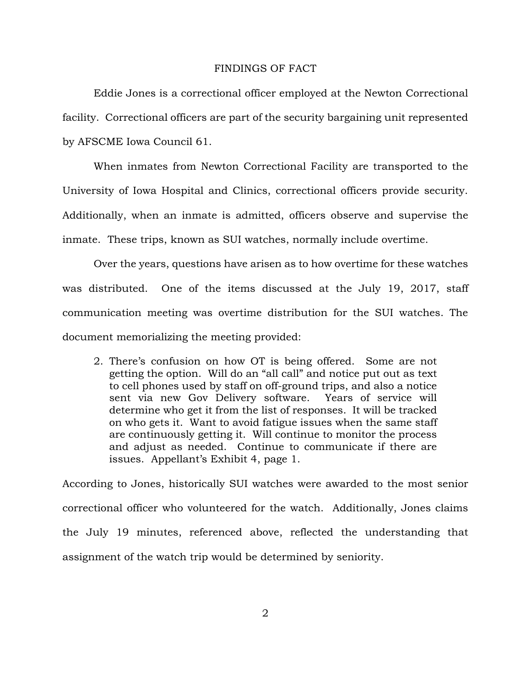## FINDINGS OF FACT

Eddie Jones is a correctional officer employed at the Newton Correctional facility. Correctional officers are part of the security bargaining unit represented by AFSCME Iowa Council 61.

When inmates from Newton Correctional Facility are transported to the University of Iowa Hospital and Clinics, correctional officers provide security. Additionally, when an inmate is admitted, officers observe and supervise the inmate. These trips, known as SUI watches, normally include overtime.

Over the years, questions have arisen as to how overtime for these watches was distributed. One of the items discussed at the July 19, 2017, staff communication meeting was overtime distribution for the SUI watches. The document memorializing the meeting provided:

2. There's confusion on how OT is being offered. Some are not getting the option. Will do an "all call" and notice put out as text to cell phones used by staff on off-ground trips, and also a notice sent via new Gov Delivery software. Years of service will determine who get it from the list of responses. It will be tracked on who gets it. Want to avoid fatigue issues when the same staff are continuously getting it. Will continue to monitor the process and adjust as needed. Continue to communicate if there are issues. Appellant's Exhibit 4, page 1.

According to Jones, historically SUI watches were awarded to the most senior correctional officer who volunteered for the watch. Additionally, Jones claims the July 19 minutes, referenced above, reflected the understanding that assignment of the watch trip would be determined by seniority.

 $\mathcal{D}_{\mathcal{L}}$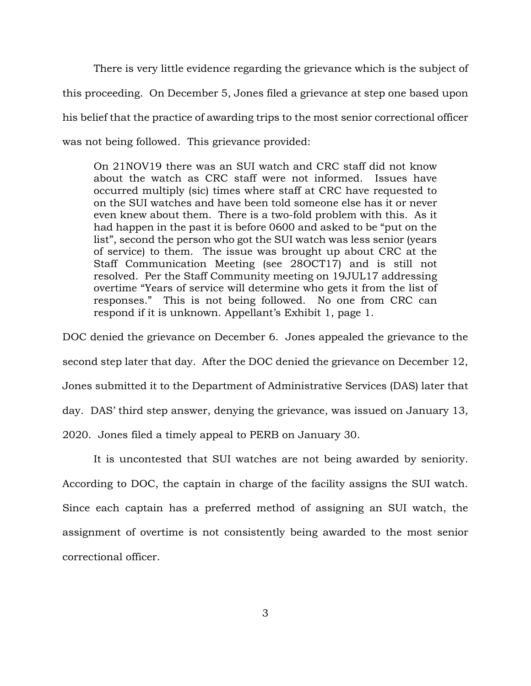There is very little evidence regarding the grievance which is the subject of this proceeding. On December 5, Jones filed a grievance at step one based upon his belief that the practice of awarding trips to the most senior correctional officer was not being followed. This grievance provided:

On 21NOV19 there was an SUI watch and CRC staff did not know about the watch as CRC staff were not informed. Issues have occurred multiply (sic) times where staff at CRC have requested to on the SUI watches and have been told someone else has it or never even knew about them. There is a two-fold problem with this. As it had happen in the past it is before 0600 and asked to be "put on the list", second the person who got the SUI watch was less senior (years of service) to them. The issue was brought up about CRC at the Staff Communication Meeting (see 28OCT17) and is still not resolved. Per the Staff Community meeting on 19JUL17 addressing overtime "Years of service will determine who gets it from the list of responses." This is not being followed. No one from CRC can respond if it is unknown. Appellant's Exhibit 1, page 1.

DOC denied the grievance on December 6. Jones appealed the grievance to the second step later that day. After the DOC denied the grievance on December 12, Jones submitted it to the Department of Administrative Services (DAS) later that day. DAS' third step answer, denying the grievance, was issued on January 13, 2020. Jones filed a timely appeal to PERB on January 30.

It is uncontested that SUI watches are not being awarded by seniority. According to DOC, the captain in charge of the facility assigns the SUI watch. Since each captain has a preferred method of assigning an SUI watch, the assignment of overtime is not consistently being awarded to the most senior correctional officer.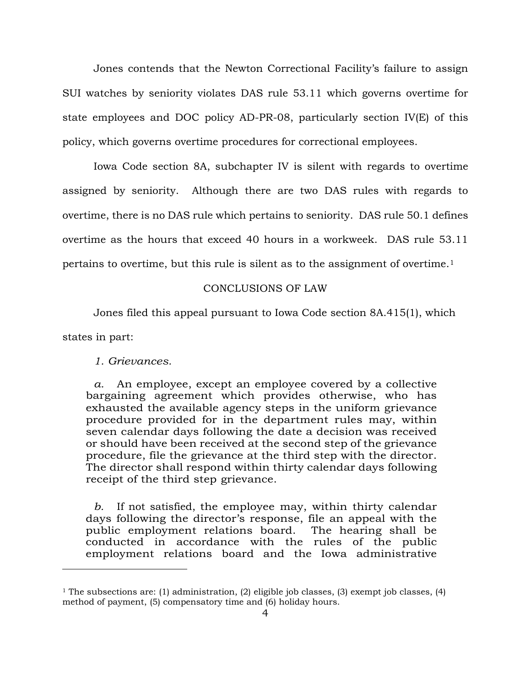Jones contends that the Newton Correctional Facility's failure to assign SUI watches by seniority violates DAS rule 53.11 which governs overtime for state employees and DOC policy AD-PR-08, particularly section IV(E) of this policy, which governs overtime procedures for correctional employees.

Iowa Code section 8A, subchapter IV is silent with regards to overtime assigned by seniority. Although there are two DAS rules with regards to overtime, there is no DAS rule which pertains to seniority. DAS rule 50.1 defines overtime as the hours that exceed 40 hours in a workweek. DAS rule 53.11 pertains to overtime, but this rule is silent as to the assignment of overtime.[1](#page-3-0) 

### CONCLUSIONS OF LAW

Jones filed this appeal pursuant to Iowa Code section 8A.415(1), which

states in part:

Ĩ.

*1. Grievances.*

*a.* An employee, except an employee covered by a collective bargaining agreement which provides otherwise, who has exhausted the available agency steps in the uniform grievance procedure provided for in the department rules may, within seven calendar days following the date a decision was received or should have been received at the second step of the grievance procedure, file the grievance at the third step with the director. The director shall respond within thirty calendar days following receipt of the third step grievance.

*b.* If not satisfied, the employee may, within thirty calendar days following the director's response, file an appeal with the public employment relations board. The hearing shall be conducted in accordance with the rules of the public employment relations board and the Iowa administrative

<span id="page-3-0"></span><sup>&</sup>lt;sup>1</sup> The subsections are: (1) administration, (2) eligible job classes, (3) exempt job classes, (4) method of payment, (5) compensatory time and (6) holiday hours.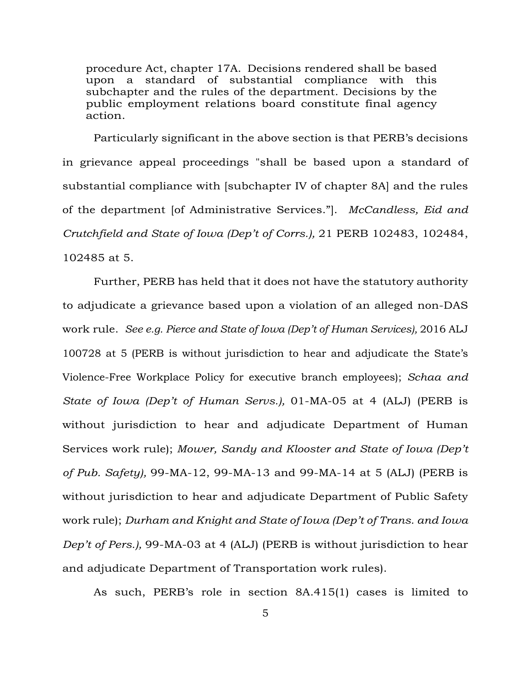procedure Act, chapter 17A. Decisions rendered shall be based upon a standard of substantial compliance with this subchapter and the rules of the department. Decisions by the public employment relations board constitute final agency action.

Particularly significant in the above section is that PERB's decisions in grievance appeal proceedings "shall be based upon a standard of substantial compliance with [subchapter IV of chapter 8A] and the rules of the department [of Administrative Services."]. *McCandless, Eid and Crutchfield and State of Iowa (Dep't of Corrs.),* 21 PERB 102483, 102484, 102485 at 5.

Further, PERB has held that it does not have the statutory authority to adjudicate a grievance based upon a violation of an alleged non-DAS work rule. *See e.g. Pierce and State of Iowa (Dep't of Human Services),* 2016 ALJ 100728 at 5 (PERB is without jurisdiction to hear and adjudicate the State's Violence-Free Workplace Policy for executive branch employees); *Schaa and State of Iowa (Dep't of Human Servs.),* 01-MA-05 at 4 (ALJ) (PERB is without jurisdiction to hear and adjudicate Department of Human Services work rule); *Mower, Sandy and Klooster and State of Iowa (Dep't of Pub. Safety),* 99-MA-12, 99-MA-13 and 99-MA-14 at 5 (ALJ) (PERB is without jurisdiction to hear and adjudicate Department of Public Safety work rule); *Durham and Knight and State of Iowa (Dep't of Trans. and Iowa Dep't of Pers.),* 99-MA-03 at 4 (ALJ) (PERB is without jurisdiction to hear and adjudicate Department of Transportation work rules).

As such, PERB's role in section 8A.415(1) cases is limited to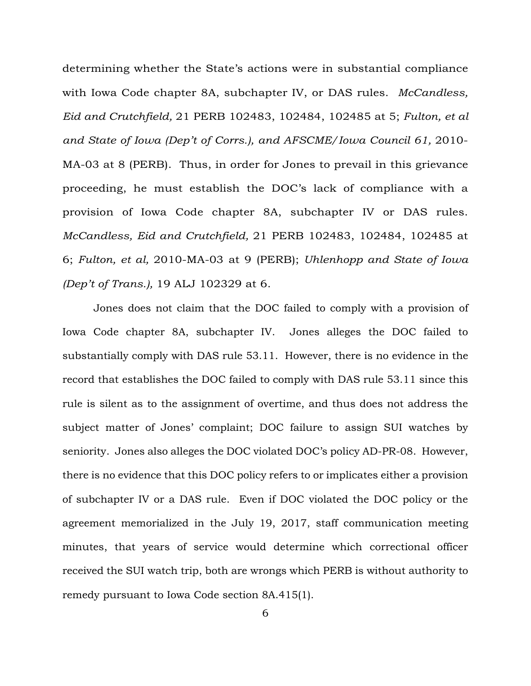determining whether the State's actions were in substantial compliance with Iowa Code chapter 8A, subchapter IV, or DAS rules. *McCandless, Eid and Crutchfield,* 21 PERB 102483, 102484, 102485 at 5; *Fulton, et al*  and State of Iowa (Dep't of Corrs.), and AFSCME/Iowa Council 61, 2010-MA-03 at 8 (PERB). Thus, in order for Jones to prevail in this grievance proceeding, he must establish the DOC's lack of compliance with a provision of Iowa Code chapter 8A, subchapter IV or DAS rules. *McCandless, Eid and Crutchfield,* 21 PERB 102483, 102484, 102485 at 6; *Fulton, et al,* 2010-MA-03 at 9 (PERB); *Uhlenhopp and State of Iowa (Dep't of Trans.),* 19 ALJ 102329 at 6.

Jones does not claim that the DOC failed to comply with a provision of Iowa Code chapter 8A, subchapter IV. Jones alleges the DOC failed to substantially comply with DAS rule 53.11. However, there is no evidence in the record that establishes the DOC failed to comply with DAS rule 53.11 since this rule is silent as to the assignment of overtime, and thus does not address the subject matter of Jones' complaint; DOC failure to assign SUI watches by seniority. Jones also alleges the DOC violated DOC's policy AD-PR-08. However, there is no evidence that this DOC policy refers to or implicates either a provision of subchapter IV or a DAS rule. Even if DOC violated the DOC policy or the agreement memorialized in the July 19, 2017, staff communication meeting minutes, that years of service would determine which correctional officer received the SUI watch trip, both are wrongs which PERB is without authority to remedy pursuant to Iowa Code section 8A.415(1).

6